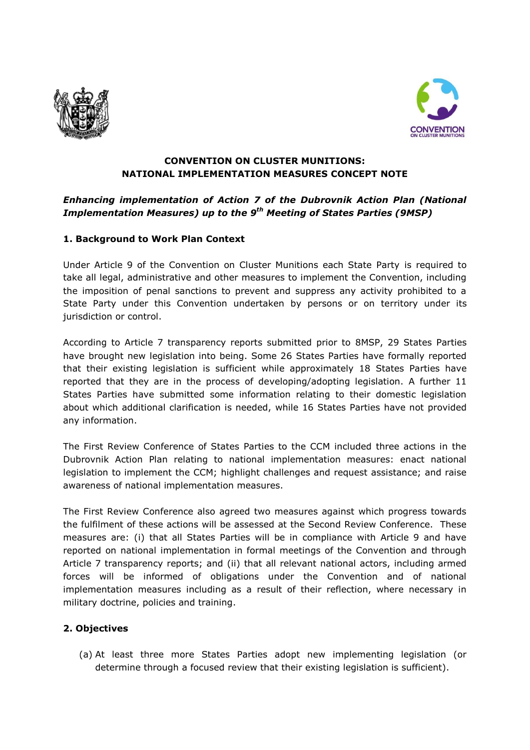



#### **CONVENTION ON CLUSTER MUNITIONS: NATIONAL IMPLEMENTATION MEASURES CONCEPT NOTE**

# *Enhancing implementation of Action 7 of the Dubrovnik Action Plan (National Implementation Measures) up to the 9 th Meeting of States Parties (9MSP)*

### **1. Background to Work Plan Context**

Under Article 9 of the Convention on Cluster Munitions each State Party is required to take all legal, administrative and other measures to implement the Convention, including the imposition of penal sanctions to prevent and suppress any activity prohibited to a State Party under this Convention undertaken by persons or on territory under its jurisdiction or control.

According to Article 7 transparency reports submitted prior to 8MSP, 29 States Parties have brought new legislation into being. Some 26 States Parties have formally reported that their existing legislation is sufficient while approximately 18 States Parties have reported that they are in the process of developing/adopting legislation. A further 11 States Parties have submitted some information relating to their domestic legislation about which additional clarification is needed, while 16 States Parties have not provided any information.

The First Review Conference of States Parties to the CCM included three actions in the Dubrovnik Action Plan relating to national implementation measures: enact national legislation to implement the CCM; highlight challenges and request assistance; and raise awareness of national implementation measures.

The First Review Conference also agreed two measures against which progress towards the fulfilment of these actions will be assessed at the Second Review Conference. These measures are: (i) that all States Parties will be in compliance with Article 9 and have reported on national implementation in formal meetings of the Convention and through Article 7 transparency reports; and (ii) that all relevant national actors, including armed forces will be informed of obligations under the Convention and of national implementation measures including as a result of their reflection, where necessary in military doctrine, policies and training.

#### **2. Objectives**

(a) At least three more States Parties adopt new implementing legislation (or determine through a focused review that their existing legislation is sufficient).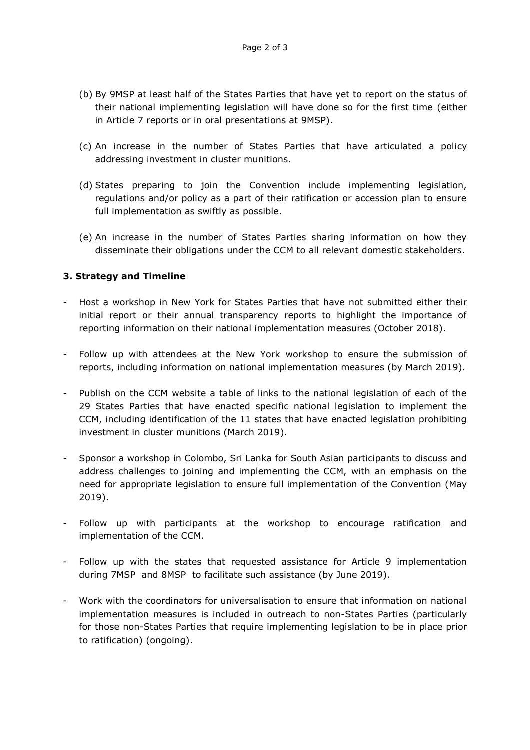- (b) By 9MSP at least half of the States Parties that have yet to report on the status of their national implementing legislation will have done so for the first time (either in Article 7 reports or in oral presentations at 9MSP).
- (c) An increase in the number of States Parties that have articulated a policy addressing investment in cluster munitions.
- (d) States preparing to join the Convention include implementing legislation, regulations and/or policy as a part of their ratification or accession plan to ensure full implementation as swiftly as possible.
- (e) An increase in the number of States Parties sharing information on how they disseminate their obligations under the CCM to all relevant domestic stakeholders.

#### **3. Strategy and Timeline**

- Host a workshop in New York for States Parties that have not submitted either their initial report or their annual transparency reports to highlight the importance of reporting information on their national implementation measures (October 2018).
- Follow up with attendees at the New York workshop to ensure the submission of reports, including information on national implementation measures (by March 2019).
- Publish on the CCM website a table of links to the national legislation of each of the 29 States Parties that have enacted specific national legislation to implement the CCM, including identification of the 11 states that have enacted legislation prohibiting investment in cluster munitions (March 2019).
- Sponsor a workshop in Colombo, Sri Lanka for South Asian participants to discuss and address challenges to joining and implementing the CCM, with an emphasis on the need for appropriate legislation to ensure full implementation of the Convention (May 2019).
- Follow up with participants at the workshop to encourage ratification and implementation of the CCM.
- Follow up with the states that requested assistance for Article 9 implementation during 7MSP and 8MSP to facilitate such assistance (by June 2019).
- Work with the coordinators for universalisation to ensure that information on national implementation measures is included in outreach to non-States Parties (particularly for those non-States Parties that require implementing legislation to be in place prior to ratification) (ongoing).